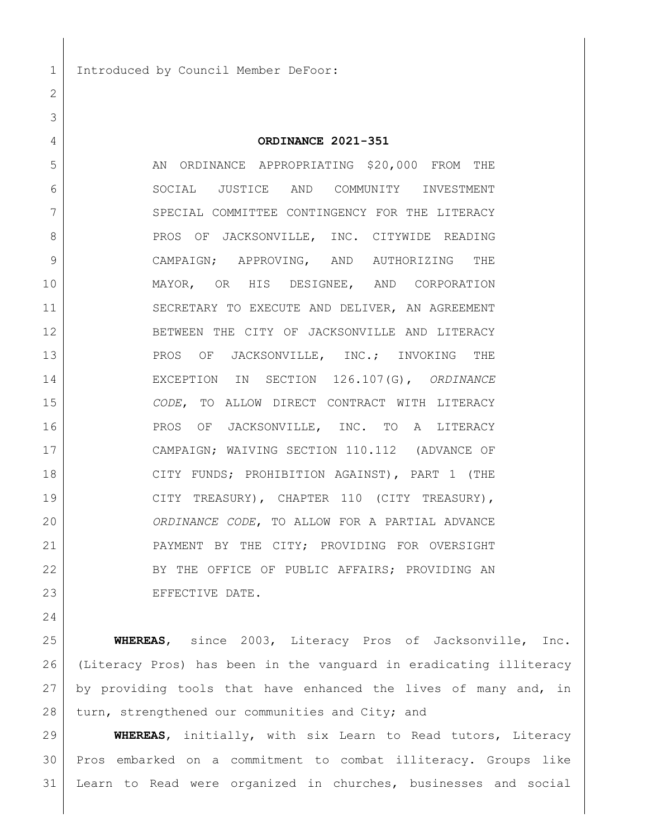Introduced by Council Member DeFoor:

| ORDINANCE 2021-351 |
|--------------------|
|                    |

5 AN ORDINANCE APPROPRIATING \$20,000 FROM THE SOCIAL JUSTICE AND COMMUNITY INVESTMENT 7 SPECIAL COMMITTEE CONTINGENCY FOR THE LITERACY 8 PROS OF JACKSONVILLE, INC. CITYWIDE READING CAMPAIGN; APPROVING, AND AUTHORIZING THE MAYOR, OR HIS DESIGNEE, AND CORPORATION 11 SECRETARY TO EXECUTE AND DELIVER, AN AGREEMENT BETWEEN THE CITY OF JACKSONVILLE AND LITERACY 13 PROS OF JACKSONVILLE, INC.; INVOKING THE EXCEPTION IN SECTION 126.107(G), *ORDINANCE CODE*, TO ALLOW DIRECT CONTRACT WITH LITERACY 16 PROS OF JACKSONVILLE, INC. TO A LITERACY CAMPAIGN; WAIVING SECTION 110.112 (ADVANCE OF CITY FUNDS; PROHIBITION AGAINST), PART 1 (THE 19 CITY TREASURY), CHAPTER 110 (CITY TREASURY), *ORDINANCE CODE*, TO ALLOW FOR A PARTIAL ADVANCE 21 PAYMENT BY THE CITY; PROVIDING FOR OVERSIGHT 22 BY THE OFFICE OF PUBLIC AFFAIRS; PROVIDING AN 23 EFFECTIVE DATE.

 **WHEREAS**, since 2003, Literacy Pros of Jacksonville, Inc. (Literacy Pros) has been in the vanguard in eradicating illiteracy by providing tools that have enhanced the lives of many and, in 28 turn, strengthened our communities and City; and

 **WHEREAS**, initially, with six Learn to Read tutors, Literacy Pros embarked on a commitment to combat illiteracy. Groups like Learn to Read were organized in churches, businesses and social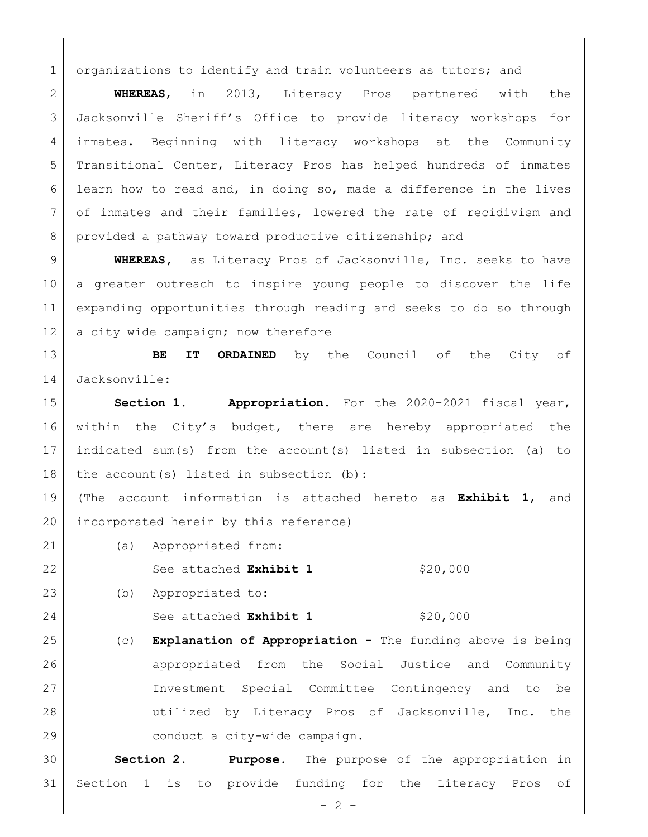1 organizations to identify and train volunteers as tutors; and

 **WHEREAS**, in 2013, Literacy Pros partnered with the Jacksonville Sheriff's Office to provide literacy workshops for inmates. Beginning with literacy workshops at the Community Transitional Center, Literacy Pros has helped hundreds of inmates learn how to read and, in doing so, made a difference in the lives of inmates and their families, lowered the rate of recidivism and 8 provided a pathway toward productive citizenship; and

 **WHEREAS,** as Literacy Pros of Jacksonville, Inc. seeks to have a greater outreach to inspire young people to discover the life expanding opportunities through reading and seeks to do so through 12 a city wide campaign; now therefore

 **BE IT ORDAINED** by the Council of the City of Jacksonville:

 **Section 1. Appropriation.** For the 2020-2021 fiscal year, within the City's budget, there are hereby appropriated the indicated sum(s) from the account(s) listed in subsection (a) to 18 | the account(s) listed in subsection (b):

 (The account information is attached hereto as **Exhibit 1**, and 20 incorporated herein by this reference)

(a) Appropriated from:

22 See attached **Exhibit 1** \$20,000

(b) Appropriated to:

24 See attached **Exhibit 1** \$20,000

 (c) **Explanation of Appropriation -** The funding above is being 26 appropriated from the Social Justice and Community Investment Special Committee Contingency and to be utilized by Literacy Pros of Jacksonville, Inc. the conduct a city-wide campaign.

 **Section 2. Purpose.** The purpose of the appropriation in Section 1 is to provide funding for the Literacy Pros of

 $- 2 -$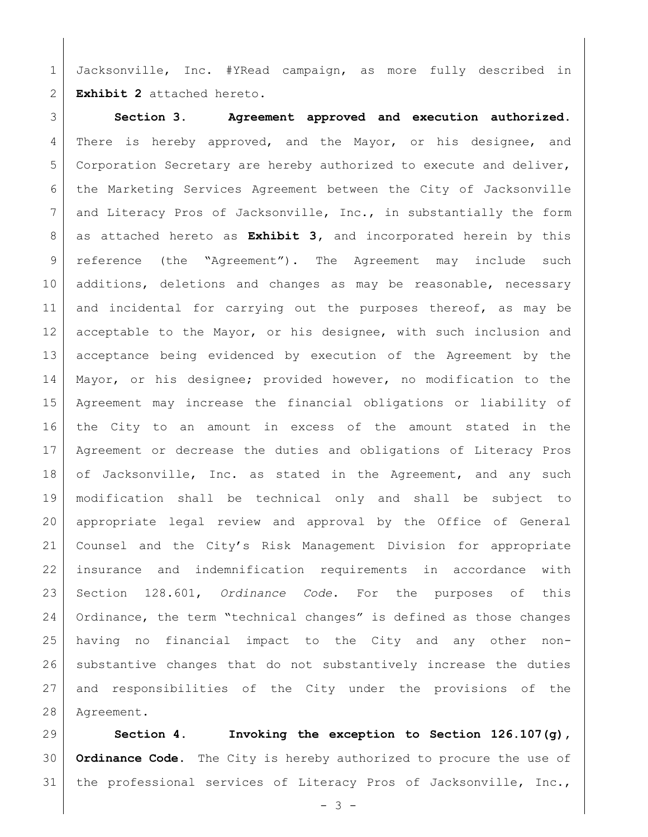Jacksonville, Inc. #YRead campaign, as more fully described in **Exhibit 2** attached hereto.

 **Section 3. Agreement approved and execution authorized.** 4 There is hereby approved, and the Mayor, or his designee, and Corporation Secretary are hereby authorized to execute and deliver, the Marketing Services Agreement between the City of Jacksonville and Literacy Pros of Jacksonville, Inc., in substantially the form as attached hereto as **Exhibit 3,** and incorporated herein by this reference (the "Agreement"). The Agreement may include such 10 additions, deletions and changes as may be reasonable, necessary 11 and incidental for carrying out the purposes thereof, as may be 12 acceptable to the Mayor, or his designee, with such inclusion and acceptance being evidenced by execution of the Agreement by the Mayor, or his designee; provided however, no modification to the Agreement may increase the financial obligations or liability of the City to an amount in excess of the amount stated in the Agreement or decrease the duties and obligations of Literacy Pros 18 of Jacksonville, Inc. as stated in the Agreement, and any such modification shall be technical only and shall be subject to appropriate legal review and approval by the Office of General Counsel and the City's Risk Management Division for appropriate insurance and indemnification requirements in accordance with Section 128.601, *Ordinance Code*. For the purposes of this Ordinance, the term "technical changes" is defined as those changes having no financial impact to the City and any other non- substantive changes that do not substantively increase the duties and responsibilities of the City under the provisions of the Agreement.

 **Section 4. Invoking the exception to Section 126.107(g), Ordinance Code.** The City is hereby authorized to procure the use of 31 | the professional services of Literacy Pros of Jacksonville, Inc.,

 $- 3 -$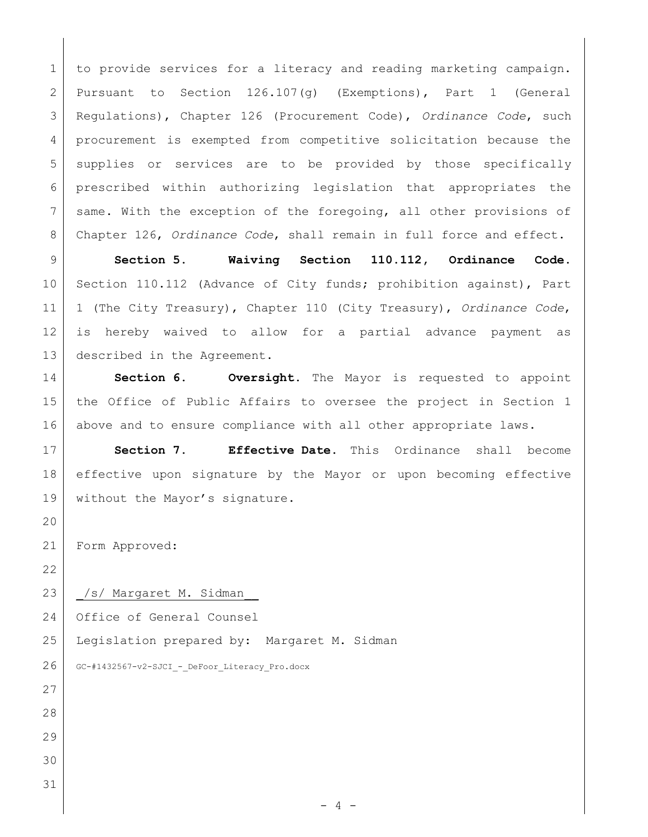to provide services for a literacy and reading marketing campaign. Pursuant to Section 126.107(g) (Exemptions), Part 1 (General Regulations), Chapter 126 (Procurement Code), *Ordinance Code*, such 4 procurement is exempted from competitive solicitation because the 5 supplies or services are to be provided by those specifically prescribed within authorizing legislation that appropriates the 7 same. With the exception of the foregoing, all other provisions of Chapter 126, *Ordinance Code*, shall remain in full force and effect.

 **Section 5. Waiving Section 110.112, Ordinance Code.** 10 Section 110.112 (Advance of City funds; prohibition against), Part 1 (The City Treasury), Chapter 110 (City Treasury), *Ordinance Code*, is hereby waived to allow for a partial advance payment as described in the Agreement.

 **Section 6. Oversight.** The Mayor is requested to appoint the Office of Public Affairs to oversee the project in Section 1 above and to ensure compliance with all other appropriate laws.

 **Section 7. Effective Date.** This Ordinance shall become effective upon signature by the Mayor or upon becoming effective 19 without the Mayor's signature.

Form Approved:

23 | /s/ Margaret M. Sidman

Office of General Counsel

Legislation prepared by: Margaret M. Sidman

GC-#1432567-v2-SJCI - DeFoor Literacy Pro.docx